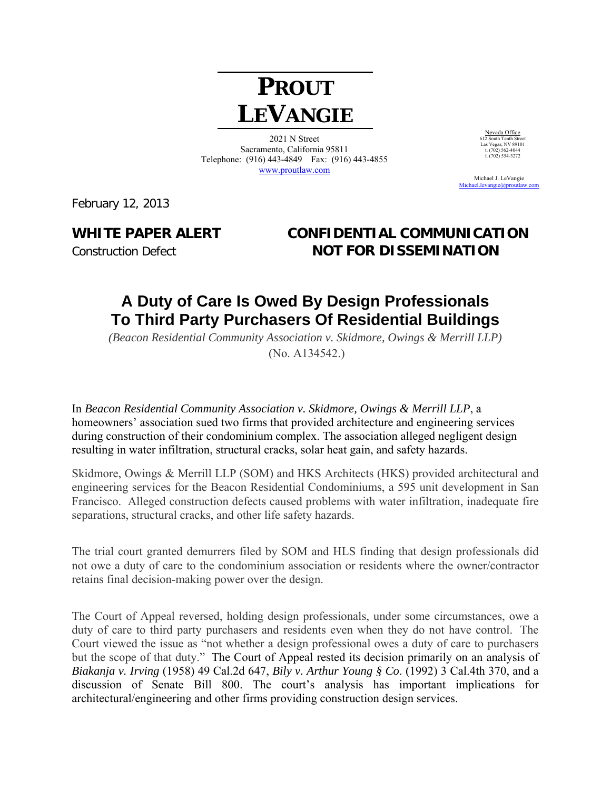# **PROUT LEVANGIE**

2021 N Street Sacramento, California 95811 Telephone: (916) 443-4849 Fax: (916) 443-4855 www.proutlaw.com

Nevada Office 612 South Tenth Street Las Vegas, NV 89101 t. (702) 562-4044 f.  $(702)$  554-3272

 Michael J. LeVangie Michael.levangie@proutlay.

February 12, 2013

### **WHITE PAPER ALERT CONFIDENTIAL COMMUNICATION Construction Defect NOT FOR DISSEMINATION**

## **A Duty of Care Is Owed By Design Professionals To Third Party Purchasers Of Residential Buildings**

*(Beacon Residential Community Association v. Skidmore, Owings & Merrill LLP)*  (No. A134542.)

In *Beacon Residential Community Association v. Skidmore, Owings & Merrill LLP*, a homeowners' association sued two firms that provided architecture and engineering services during construction of their condominium complex. The association alleged negligent design resulting in water infiltration, structural cracks, solar heat gain, and safety hazards.

Skidmore, Owings & Merrill LLP (SOM) and HKS Architects (HKS) provided architectural and engineering services for the Beacon Residential Condominiums, a 595 unit development in San Francisco. Alleged construction defects caused problems with water infiltration, inadequate fire separations, structural cracks, and other life safety hazards.

The trial court granted demurrers filed by SOM and HLS finding that design professionals did not owe a duty of care to the condominium association or residents where the owner/contractor retains final decision-making power over the design.

The Court of Appeal reversed, holding design professionals, under some circumstances, owe a duty of care to third party purchasers and residents even when they do not have control. The Court viewed the issue as "not whether a design professional owes a duty of care to purchasers but the scope of that duty." The Court of Appeal rested its decision primarily on an analysis of *Biakanja v. Irving* (1958) 49 Cal.2d 647, *Bily v. Arthur Young § Co*. (1992) 3 Cal.4th 370, and a discussion of Senate Bill 800. The court's analysis has important implications for architectural/engineering and other firms providing construction design services.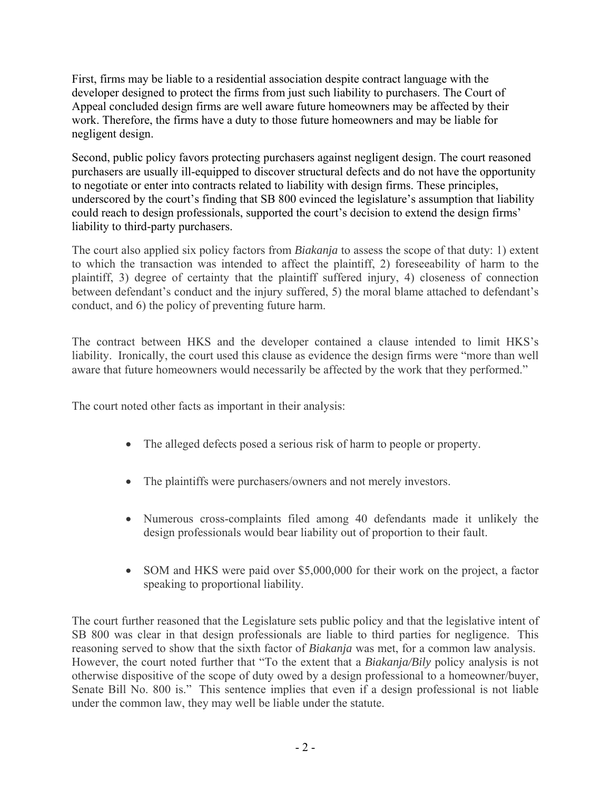First, firms may be liable to a residential association despite contract language with the developer designed to protect the firms from just such liability to purchasers. The Court of Appeal concluded design firms are well aware future homeowners may be affected by their work. Therefore, the firms have a duty to those future homeowners and may be liable for negligent design.

Second, public policy favors protecting purchasers against negligent design. The court reasoned purchasers are usually ill-equipped to discover structural defects and do not have the opportunity to negotiate or enter into contracts related to liability with design firms. These principles, underscored by the court's finding that SB 800 evinced the legislature's assumption that liability could reach to design professionals, supported the court's decision to extend the design firms' liability to third-party purchasers.

The court also applied six policy factors from *Biakanja* to assess the scope of that duty: 1) extent to which the transaction was intended to affect the plaintiff, 2) foreseeability of harm to the plaintiff, 3) degree of certainty that the plaintiff suffered injury, 4) closeness of connection between defendant's conduct and the injury suffered, 5) the moral blame attached to defendant's conduct, and 6) the policy of preventing future harm.

The contract between HKS and the developer contained a clause intended to limit HKS's liability. Ironically, the court used this clause as evidence the design firms were "more than well aware that future homeowners would necessarily be affected by the work that they performed."

The court noted other facts as important in their analysis:

- The alleged defects posed a serious risk of harm to people or property.
- The plaintiffs were purchasers/owners and not merely investors.
- Numerous cross-complaints filed among 40 defendants made it unlikely the design professionals would bear liability out of proportion to their fault.
- SOM and HKS were paid over \$5,000,000 for their work on the project, a factor speaking to proportional liability.

The court further reasoned that the Legislature sets public policy and that the legislative intent of SB 800 was clear in that design professionals are liable to third parties for negligence. This reasoning served to show that the sixth factor of *Biakanja* was met, for a common law analysis. However, the court noted further that "To the extent that a *Biakanja/Bily* policy analysis is not otherwise dispositive of the scope of duty owed by a design professional to a homeowner/buyer, Senate Bill No. 800 is." This sentence implies that even if a design professional is not liable under the common law, they may well be liable under the statute.